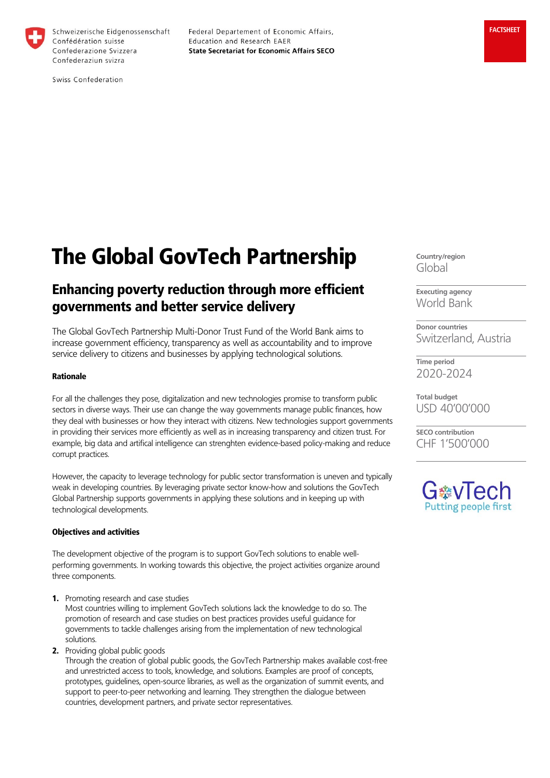

Schweizerische Eidgenossenschaft Confédération suisse Confederazione Svizzera Confederaziun svizra

Federal Departement of Economic Affairs, Education and Research EAER **State Secretariat for Economic Affairs SECO** 

Swiss Confederation

# The Global GovTech Partnership

# Enhancing poverty reduction through more efficient governments and better service delivery

The Global GovTech Partnership Multi-Donor Trust Fund of the World Bank aims to increase government efficiency, transparency as well as accountability and to improve service delivery to citizens and businesses by applying technological solutions.

#### Rationale

For all the challenges they pose, digitalization and new technologies promise to transform public sectors in diverse ways. Their use can change the way governments manage public finances, how they deal with businesses or how they interact with citizens. New technologies support governments in providing their services more efficiently as well as in increasing transparency and citizen trust. For example, big data and artifical intelligence can strenghten evidence-based policy-making and reduce corrupt practices.

However, the capacity to leverage technology for public sector transformation is uneven and typically weak in developing countries. By leveraging private sector know-how and solutions the GovTech Global Partnership supports governments in applying these solutions and in keeping up with technological developments.

#### Objectives and activities

The development objective of the program is to support GovTech solutions to enable wellperforming governments. In working towards this objective, the project activities organize around three components.

1. Promoting research and case studies

Most countries willing to implement GovTech solutions lack the knowledge to do so. The promotion of research and case studies on best practices provides useful guidance for governments to tackle challenges arising from the implementation of new technological solutions.

2. Providing global public goods

Through the creation of global public goods, the GovTech Partnership makes available cost-free and unrestricted access to tools, knowledge, and solutions. Examples are proof of concepts, prototypes, guidelines, open-source libraries, as well as the organization of summit events, and support to peer-to-peer networking and learning. They strengthen the dialogue between countries, development partners, and private sector representatives.

**Country/region** Global

**Executing agency** World Bank

**Donor countries** Switzerland, Austria

**Time period** 2020-2024

**Total budget** USD 40'00'000

**SECO contribution** CHF 1'500'000